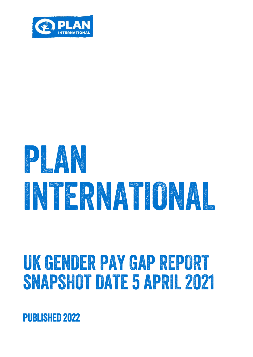

# 

## UK GENDER PAY GAP REPORT SNAPSHOT DATE 5 APRIL 2021

**PUBLISHED 2022**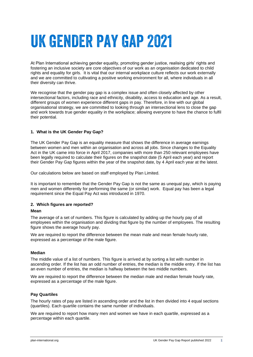## UK GENDER PAY GAP 2021

At Plan International achieving gender equality, promoting gender justice, realising girls' rights and fostering an inclusive society are core objectives of our work as an organisation dedicated to child rights and equality for girls. It is vital that our internal workplace culture reflects our work externally and we are committed to cultivating a positive working environment for all, where individuals in all their diversity can thrive.

We recognise that the gender pay gap is a complex issue and often closely affected by other intersectional factors, including race and ethnicity, disability, access to education and age. As a result, different groups of women experience different gaps in pay. Therefore, in line with our global organisational strategy, we are committed to looking through an intersectional lens to close the gap and work towards true gender equality in the workplace; allowing everyone to have the chance to fulfil their potential.

#### **1. What is the UK Gender Pay Gap?**

The UK Gender Pay Gap is an equality measure that shows the difference in average earnings between women and men within an organisation and across all jobs. Since changes to the Equality Act in the UK came into force in April 2017, companies with more than 250 relevant employees have been legally required to calculate their figures on the snapshot date (5 April each year) and report their Gender Pay Gap figures within the year of the snapshot date, by 4 April each year at the latest.

Our calculations below are based on staff employed by Plan Limited.

It is important to remember that the Gender Pay Gap is not the same as unequal pay, which is paying men and women differently for performing the same (or similar) work. Equal pay has been a legal requirement since the Equal Pay Act was introduced in 1970.

#### **2. Which figures are reported?**

#### **Mean**

The average of a set of numbers. This figure is calculated by adding up the hourly pay of all employees within the organisation and dividing that figure by the number of employees. The resulting figure shows the average hourly pay.

We are required to report the difference between the mean male and mean female hourly rate, expressed as a percentage of the male figure.

#### **Median**

The middle value of a list of numbers. This figure is arrived at by sorting a list with number in ascending order. If the list has an odd number of entries, the median is the middle entry. If the list has an even number of entries, the median is halfway between the two middle numbers.

We are required to report the difference between the median male and median female hourly rate, expressed as a percentage of the male figure.

#### **Pay Quartiles**

The hourly rates of pay are listed in ascending order and the list in then divided into 4 equal sections (quartiles). Each quartile contains the same number of individuals.

We are required to report how many men and women we have in each quartile, expressed as a percentage within each quartile.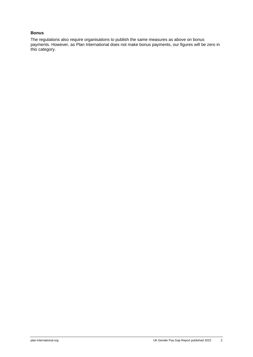#### **Bonus**

The regulations also require organisations to publish the same measures as above on bonus payments. However, as Plan International does not make bonus payments, our figures will be zero in this category.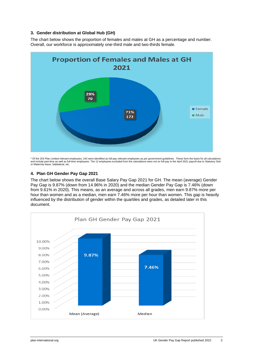#### **3. Gender distribution at Global Hub (GH)**

The chart below shows the proportion of females and males at GH as a percentage and number. Overall, our workforce is approximately one-third male and two-thirds female.



\* Of the 254 Plan Limited relevant employees, 242 were identified as full-pay relevant employees as per government guidelines. These form the basis for all calculations<br>and include part-time as well as full-time employees

#### **4. Plan GH Gender Pay Gap 2021**

The chart below shows the overall Base Salary Pay Gap 2021 for GH. The mean (average) Gender Pay Gap is 9.87% (down from 14.96% in 2020) and the median Gender Pay Gap is 7.46% (down from 9.61% in 2020). This means, as an average and across all grades, men earn 9.87% more per hour than women and as a median, men earn 7.46% more per hour than women. This gap is heavily influenced by the distribution of gender within the quartiles and grades, as detailed later in this document.

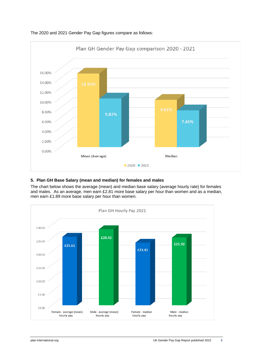

#### The 2020 and 2021 Gender Pay Gap figures compare as follows:

#### **5. Plan GH Base Salary (mean and median) for females and males**

The chart below shows the average (mean) and median base salary (average hourly rate) for females and males. As an average, men earn £2.81 more base salary per hour than women and as a median, men earn £1.89 more base salary per hour than women.

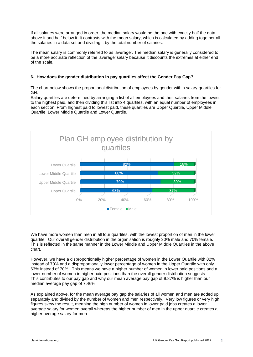If all salaries were arranged in order, the median salary would be the one with exactly half the data above it and half below it. It contrasts with the [mean salary,](https://www.hrzone.com/hr-glossary/mean-wage-definition) which is calculated by adding together all the salaries in a data set and dividing it by the total number of salaries.

The mean salary is commonly referred to as 'average'. The median salary is generally considered to be a more accurate reflection of the 'average' salary because it discounts the extremes at either end of the scale.

#### **6. How does the gender distribution in pay quartiles affect the Gender Pay Gap?**

The chart below shows the proportional distribution of employees by gender within salary quartiles for GH.

Salary quartiles are determined by arranging a list of all employees and their salaries from the lowest to the highest paid, and then dividing this list into 4 quartiles, with an equal number of employees in each section. From highest paid to lowest paid, these quartiles are Upper Quartile, Upper Middle Quartile, Lower Middle Quartile and Lower Quartile.



We have more women than men in all four quartiles, with the lowest proportion of men in the lower quartile. Our overall gender distribution in the organisation is roughly 30% male and 70% female. This is reflected in the same manner in the Lower Middle and Upper Middle Quartiles in the above chart.

However, we have a disproportionally higher percentage of women in the Lower Quartile with 82% instead of 70% and a disproportionally lower percentage of women in the Upper Quartile with only 63% instead of 70%. This means we have a higher number of women in lower paid positions and a lower number of women in higher paid positions than the overall gender distribution suggests. This contributes to our pay gap and why our mean average pay gap of 9.87% is higher than our median average pay gap of 7.46%.

As explained above, for the mean average pay gap the salaries of all women and men are added up separately and divided by the number of women and men respectively. Very low figures or very high figures skew the result, meaning the high number of women in lower paid jobs creates a lower average salary for women overall whereas the higher number of men in the upper quartile creates a higher average salary for men.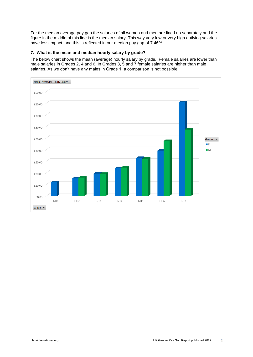For the median average pay gap the salaries of all women and men are lined up separately and the figure in the middle of this line is the median salary. This way very low or very high outlying salaries have less impact, and this is reflected in our median pay gap of 7.46%.

#### **7. What is the mean and median hourly salary by grade?**

The below chart shows the mean (average) hourly salary by grade. Female salaries are lower than male salaries in Grades 2, 4 and 6. In Grades 3, 5 and 7 female salaries are higher than male salaries. As we don't have any males in Grade 1, a comparison is not possible.

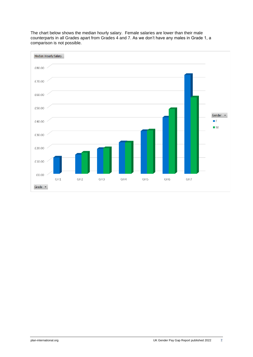

The chart below shows the median hourly salary. Female salaries are lower than their male counterparts in all Grades apart from Grades 4 and 7. As we don't have any males in Grade 1, a comparison is not possible.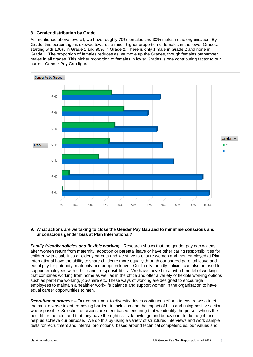#### **8. Gender distribution by Grade**

As mentioned above, overall, we have roughly 70% females and 30% males in the organisation. By Grade, this percentage is skewed towards a much higher proportion of females in the lower Grades, starting with 100% in Grade 1 and 95% in Grade 2. There is only 1 male in Grade 2 and none in Grade 1. The proportion of females reduces as we move up the Grades, though females outnumber males in all grades. This higher proportion of females in lower Grades is one contributing factor to our current Gender Pay Gap figure.



#### **9. What actions are we taking to close the Gender Pay Gap and to minimise conscious and unconscious gender bias at Plan International?**

*Family friendly policies and flexible working* - Research shows that the gender pay gap widens after women return from maternity, adoption or parental leave or have other caring responsibilities for children with disabilities or elderly parents and we strive to ensure women and men employed at Plan International have the ability to share childcare more equally through our shared parental leave and equal pay for paternity, maternity and adoption leave. Our family friendly policies can also be used to support employees with other caring responsibilities. We have moved to a hybrid-model of working that combines working from home as well as in the office and offer a variety of flexible working options such as part-time working, job-share etc. These ways of working are designed to encourage employees to maintain a healthier work-life balance and support women in the organisation to have equal career opportunities to men.

*Recruitment process –* Our commitment to diversity drives continuous efforts to ensure we attract the most diverse talent, removing barriers to inclusion and the impact of bias and using positive action where possible. Selection decisions are merit based, ensuring that we identify the person who is the best fit for the role, and that they have the right skills, knowledge and behaviours to do the job and help us achieve our purpose. We do this by using a variety of structured interviews and work sample tests for recruitment and internal promotions, based around technical competencies, our values and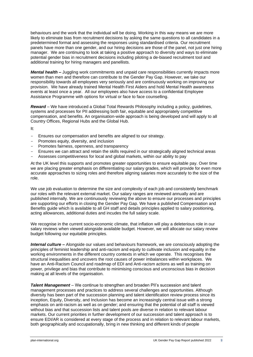behaviours and the work that the individual will be doing. Working in this way means we are more likely to eliminate bias from recruitment decisions by asking the same questions to all candidates in a predetermined format and assessing the responses using standardised criteria. Our recruitment panels have more than one gender, and our hiring decisions are those of the panel, not just one hiring manager. We are continuing to look at taking a positive approach to diversity and ways to eliminate potential gender bias in recruitment decisions including piloting a de-biased recruitment tool and additional training for hiring managers and panellists.

*Mental health* – Juggling work commitments and unpaid care responsibilities currently impacts more women than men and therefore can contribute to the Gender Pay Gap. However, we take our responsibility towards all employees very seriously and are continuously working on improving our provision. We have already trained Mental Health First Aiders and hold Mental Health awareness events at least once a year. All our employees also have access to a confidential Employee Assistance Programme with options for virtual or face to face counselling.

*Reward* – We have introduced a Global Total Rewards Philosophy including a policy, guidelines, systems and processes for PII addressing both fair, equitable and appropriately competitive compensation, and benefits. An organisation-wide approach is being developed and will apply to all Country Offices, Regional Hubs and the Global Hub.

It:

- Ensures our compensation and benefits are aligned to our strategy.
- Promotes equity, diversity, and inclusion
- Promotes fairness, openness, and transparency
- Ensures we can attract and retain the skills required in our strategically aligned technical areas
- Assesses competitiveness for local and global markets, within our ability to pay

At the UK level this supports and promotes greater opportunities to ensure equitable pay. Over time we are placing greater emphasis on differentiating our salary grades, which will provide for even more accurate approaches to sizing roles and therefore aligning salaries more accurately to the size of the role.

We use job evaluation to determine the size and complexity of each job and consistently benchmark our roles with the relevant external market. Our salary ranges are reviewed annually and are published internally. We are continuously reviewing the above to ensure our processes and principles are supporting our efforts in closing the Gender Pay Gap. We have a published Compensation and Benefits guide which is available to all GH staff and details principles applied to salary positioning, acting allowances, additional duties and incudes the full salary scale.

We recognise in the current socio-economic climate, that inflation will play a deleterious role in our salary reviews when viewed alongside available budget. However, we will allocate our salary review budget following our equitable principles.

*Internal culture –* Alongside our values and behaviours framework, we are consciously adopting the principles of feminist leadership and anti-racism and equity to cultivate inclusion and equality in the working environments in the different country contexts in which we operate. This recognises the structural inequalities and uncovers the root causes of power imbalances within workplaces. We have an Anti-Racism Council and roadmap of EDI and Anti-racism actions as well as training on power, privilege and bias that contribute to minimising conscious and unconscious bias in decision making at all levels of the organisation.

*Talent Management* – We continue to strengthen and broaden PII's succession and talent management processes and practices to address several challenges and opportunities. Although diversity has been part of the succession planning and talent identification review process since its inception, Equity, Diversity, and Inclusion has become an increasingly central issue with a strong emphasis on anti-racism as well as on gender; and ensuring that the potential of all staff is viewed without bias and that succession lists and talent pools are diverse in relation to relevant labour markets. Our current priorities in further development of our succession and talent approach is to ensure EDI/AR is considered at every stage of the process and in relation to relevant labour markets, both geographically and occupationally, bring in new thinking and different kinds of people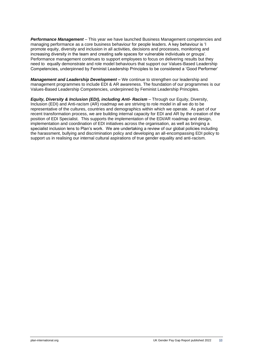*Performance Management* – This year we have launched Business Management competencies and managing performance as a core business behaviour for people leaders. A key behaviour is 'I promote equity, diversity and inclusion in all activities, decisions and processes, monitoring and increasing diversity in the team and creating safe spaces for vulnerable individuals or groups'. Performance management continues to support employees to focus on delivering results but they need to equally demonstrate and role model behaviours that support our Values-Based Leadership Competencies, underpinned by Feminist Leadership Principles to be considered a 'Good Performer'

*Management and Leadership Development* – We continue to strengthen our leadership and management programmes to include EDI & AR awareness. The foundation of our programmes is our Values-Based Leadership Competencies, underpinned by Feminist Leadership Principles.

*Equity, Diversity & Inclusion (EDI), including Anti- Racism* – Through our Equity, Diversity, Inclusion (EDI) and Anti-racism (AR) roadmap we are striving to role model in all we do to be representative of the cultures, countries and demographics within which we operate. As part of our recent transformation process, we are building internal capacity for EDI and AR by the creation of the position of EDI Specialist. This supports the implementation of the EDI/AR roadmap and design, implementation and coordination of EDI initiatives across the organisation, as well as bringing a specialist inclusion lens to Plan's work. We are undertaking a review of our global policies including the harassment, bullying and discrimination policy and developing an all-encompassing EDI policy to support us in realising our internal cultural aspirations of true gender equality and anti-racism.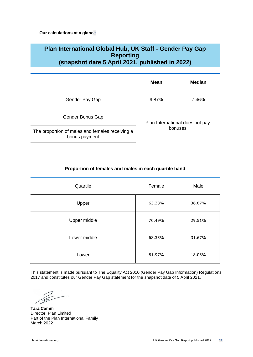- **Our calculations at a glance**

### **Plan International Global Hub, UK Staff - Gender Pay Gap Reporting (snapshot date 5 April 2021, published in 2022)**

|                                                                  | Mean                                       | <b>Median</b> |
|------------------------------------------------------------------|--------------------------------------------|---------------|
| Gender Pay Gap                                                   | 9.87%                                      | 7.46%         |
| Gender Bonus Gap                                                 | Plan International does not pay<br>bonuses |               |
| The proportion of males and females receiving a<br>bonus payment |                                            |               |

#### **Proportion of females and males in each quartile band**

| Quartile     | Female | Male   |
|--------------|--------|--------|
| Upper        | 63.33% | 36.67% |
| Upper middle | 70.49% | 29.51% |
| Lower middle | 68.33% | 31.67% |
| Lower        | 81.97% | 18.03% |

This statement is made pursuant to The Equality Act 2010 (Gender Pay Gap Information) Regulations 2017 and constitutes our Gender Pay Gap statement for the snapshot date of 5 April 2021.

**Tara Camm** Director, Plan Limited Part of the Plan International Family March 2022